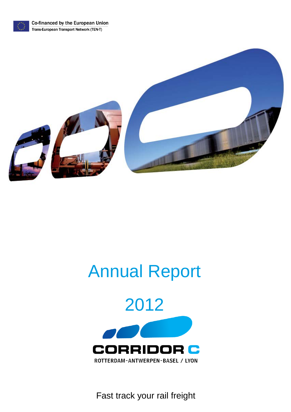

**Co-financed by the European Union** Trans-European Transport Network (TEN-T)



# Annual Report



Fast track your rail freight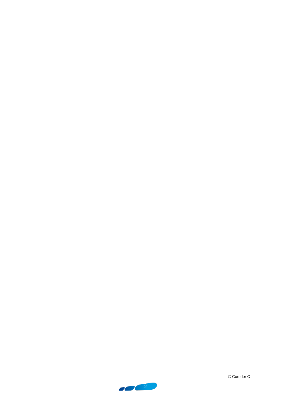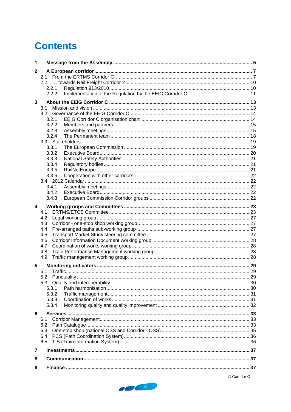## **Contents**

| 1                       |                     |  |  |  |  |
|-------------------------|---------------------|--|--|--|--|
| $\mathbf 2$             |                     |  |  |  |  |
|                         | 2.1                 |  |  |  |  |
|                         |                     |  |  |  |  |
|                         | 2.2.1               |  |  |  |  |
|                         | 2.2.2               |  |  |  |  |
| $\overline{\mathbf{3}}$ |                     |  |  |  |  |
|                         | 3.1                 |  |  |  |  |
|                         |                     |  |  |  |  |
|                         | 3.2.1               |  |  |  |  |
|                         | 3.2.2               |  |  |  |  |
|                         | 3.2.3               |  |  |  |  |
|                         | 3.2.4               |  |  |  |  |
|                         |                     |  |  |  |  |
|                         | 3.3.1               |  |  |  |  |
|                         | 3.3.2               |  |  |  |  |
|                         | 3.3.3               |  |  |  |  |
|                         | 3.3.4               |  |  |  |  |
|                         | 3.3.5               |  |  |  |  |
|                         | 3.3.6               |  |  |  |  |
|                         | 3.4.1               |  |  |  |  |
|                         | 3.4.2               |  |  |  |  |
|                         | 3.4.3               |  |  |  |  |
|                         |                     |  |  |  |  |
| 4                       |                     |  |  |  |  |
|                         | 4.1                 |  |  |  |  |
|                         | 4.2                 |  |  |  |  |
|                         | 4.3                 |  |  |  |  |
|                         | 4.4                 |  |  |  |  |
|                         | 4.5                 |  |  |  |  |
|                         | 4.6                 |  |  |  |  |
|                         | 4.7<br>4.8          |  |  |  |  |
|                         | 4.9                 |  |  |  |  |
|                         |                     |  |  |  |  |
| 5                       |                     |  |  |  |  |
|                         | 5.1                 |  |  |  |  |
|                         | 5.2<br>Punctuality. |  |  |  |  |
|                         |                     |  |  |  |  |
|                         | 5.3.1               |  |  |  |  |
|                         | 5.3.2               |  |  |  |  |
|                         | 5.3.3               |  |  |  |  |
|                         | 5.3.4               |  |  |  |  |
| 6                       |                     |  |  |  |  |
|                         | 6.1                 |  |  |  |  |
|                         | 6.2                 |  |  |  |  |
|                         | 6.3                 |  |  |  |  |
|                         | 6.4                 |  |  |  |  |
|                         | 6.5                 |  |  |  |  |
| 7                       |                     |  |  |  |  |
| 8                       |                     |  |  |  |  |
|                         |                     |  |  |  |  |
| 9                       |                     |  |  |  |  |

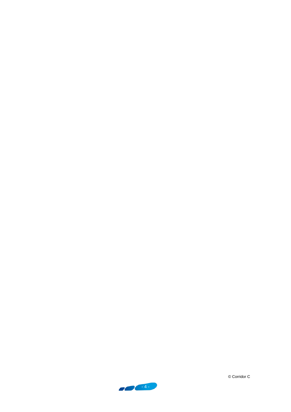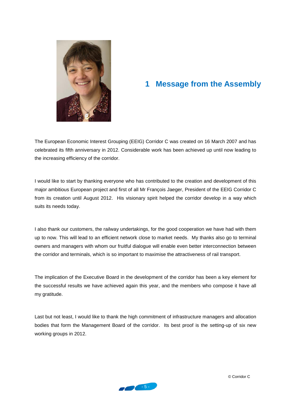

#### <span id="page-4-0"></span>**1 Message from the Assembly**

The European Economic Interest Grouping (EEIG) Corridor C was created on 16 March 2007 and has celebrated its fifth anniversary in 2012. Considerable work has been achieved up until now leading to the increasing efficiency of the corridor.

I would like to start by thanking everyone who has contributed to the creation and development of this major ambitious European project and first of all Mr François Jaeger, President of the EEIG Corridor C from its creation until August 2012. His visionary spirit helped the corridor develop in a way which suits its needs today.

I also thank our customers, the railway undertakings, for the good cooperation we have had with them up to now. This will lead to an efficient network close to market needs. My thanks also go to terminal owners and managers with whom our fruitful dialogue will enable even better interconnection between the corridor and terminals, which is so important to maximise the attractiveness of rail transport.

The implication of the Executive Board in the development of the corridor has been a key element for the successful results we have achieved again this year, and the members who compose it have all my gratitude.

Last but not least, I would like to thank the high commitment of infrastructure managers and allocation bodies that form the Management Board of the corridor. Its best proof is the setting-up of six new working groups in 2012.

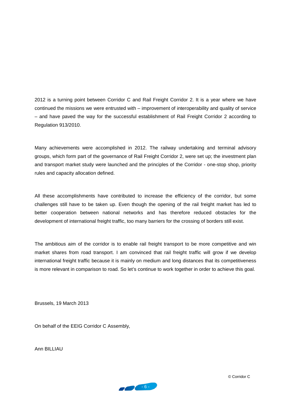2012 is a turning point between Corridor C and Rail Freight Corridor 2. It is a year where we have continued the missions we were entrusted with – improvement of interoperability and quality of service – and have paved the way for the successful establishment of Rail Freight Corridor 2 according to Regulation 913/2010.

Many achievements were accomplished in 2012. The railway undertaking and terminal advisory groups, which form part of the governance of Rail Freight Corridor 2, were set up; the investment plan and transport market study were launched and the principles of the Corridor - one-stop shop, priority rules and capacity allocation defined.

All these accomplishments have contributed to increase the efficiency of the corridor, but some challenges still have to be taken up. Even though the opening of the rail freight market has led to better cooperation between national networks and has therefore reduced obstacles for the development of international freight traffic, too many barriers for the crossing of borders still exist.

The ambitious aim of the corridor is to enable rail freight transport to be more competitive and win market shares from road transport. I am convinced that rail freight traffic will grow if we develop international freight traffic because it is mainly on medium and long distances that its competitiveness is more relevant in comparison to road. So let's continue to work together in order to achieve this goal.

Brussels, 19 March 2013

On behalf of the EEIG Corridor C Assembly,

Ann BILLIAU

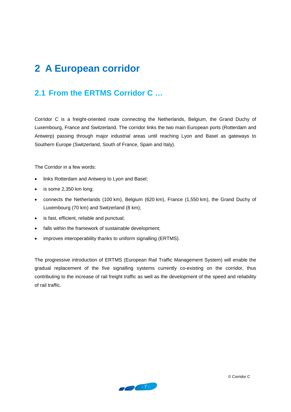## <span id="page-6-0"></span>**2 A European corridor**

#### <span id="page-6-1"></span>**2.1 From the ERTMS Corridor C …**

Corridor C is a freight-oriented route connecting the Netherlands, Belgium, the Grand Duchy of Luxembourg, France and Switzerland. The corridor links the two main European ports (Rotterdam and Antwerp) passing through major industrial areas until reaching Lyon and Basel as gateways to Southern Europe (Switzerland, South of France, Spain and Italy).

The Corridor in a few words:

- links Rotterdam and Antwerp to Lyon and Basel;
- is some 2,350 km long;
- connects the Netherlands (100 km), Belgium (620 km), France (1,550 km), the Grand Duchy of Luxembourg (70 km) and Switzerland (8 km);
- is fast, efficient, reliable and punctual;
- falls within the framework of sustainable development;
- improves interoperability thanks to uniform signalling (ERTMS).

The progressive introduction of ERTMS (European Rail Traffic Management System) will enable the gradual replacement of the five signalling systems currently co-existing on the corridor, thus contributing to the increase of rail freight traffic as well as the development of the speed and reliability of rail traffic.

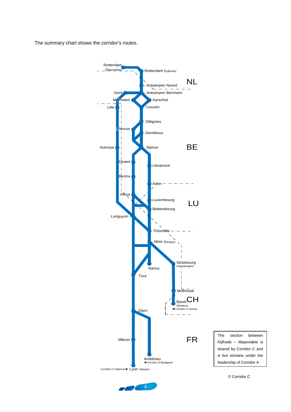The summary chart shows the corridor's routes.



The section between Kijfhoek – Maasvlakte is shared by Corridor C and A but remains under the leadership of Corridor A

© Corridor C

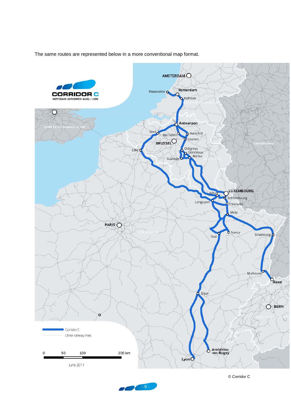



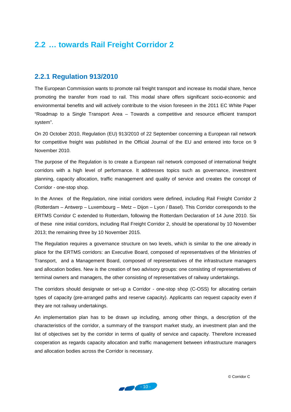#### <span id="page-9-0"></span>**2.2 … towards Rail Freight Corridor 2**

#### <span id="page-9-1"></span>**2.2.1 Regulation 913/2010**

The European Commission wants to promote rail freight transport and increase its modal share, hence promoting the transfer from road to rail. This modal share offers significant socio-economic and environmental benefits and will actively contribute to the vision foreseen in the 2011 EC White Paper "Roadmap to a Single Transport Area – Towards a competitive and resource efficient transport system".

On 20 October 2010, Regulation (EU) 913/2010 of 22 September concerning a European rail network for competitive freight was published in the Official Journal of the EU and entered into force on 9 November 2010.

The purpose of the Regulation is to create a European rail network composed of international freight corridors with a high level of performance. It addresses topics such as governance, investment planning, capacity allocation, traffic management and quality of service and creates the concept of Corridor - one-stop shop.

In the Annex of the Regulation, nine initial corridors were defined, including Rail Freight Corridor 2 (Rotterdam – Antwerp – Luxembourg – Metz – Dijon – Lyon / Basel). This Corridor corresponds to the ERTMS Corridor C extended to Rotterdam, following the Rotterdam Declaration of 14 June 2010. Six of these nine initial corridors, including Rail Freight Corridor 2, should be operational by 10 November 2013; the remaining three by 10 November 2015.

The Regulation requires a governance structure on two levels, which is similar to the one already in place for the ERTMS corridors: an Executive Board, composed of representatives of the Ministries of Transport, and a Management Board, composed of representatives of the infrastructure managers and allocation bodies. New is the creation of two advisory groups: one consisting of representatives of terminal owners and managers, the other consisting of representatives of railway undertakings.

The corridors should designate or set-up a Corridor - one-stop shop (C-OSS) for allocating certain types of capacity (pre-arranged paths and reserve capacity). Applicants can request capacity even if they are not railway undertakings.

An implementation plan has to be drawn up including, among other things, a description of the characteristics of the corridor, a summary of the transport market study, an investment plan and the list of objectives set by the corridor in terms of quality of service and capacity. Therefore increased cooperation as regards capacity allocation and traffic management between infrastructure managers and allocation bodies across the Corridor is necessary.

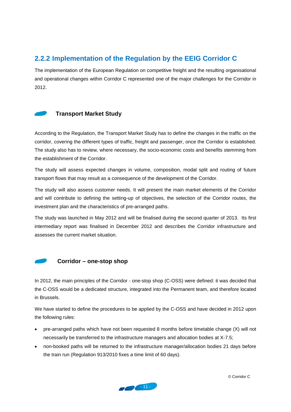#### <span id="page-10-0"></span>**2.2.2 Implementation of the Regulation by the EEIG Corridor C**

The implementation of the European Regulation on competitive freight and the resulting organisational and operational changes within Corridor C represented one of the major challenges for the Corridor in 2012.



#### **Transport Market Study**

According to the Regulation, the Transport Market Study has to define the changes in the traffic on the corridor, covering the different types of traffic, freight and passenger, once the Corridor is established. The study also has to review, where necessary, the socio-economic costs and benefits stemming from the establishment of the Corridor.

The study will assess expected changes in volume, composition, modal split and routing of future transport flows that may result as a consequence of the development of the Corridor.

The study will also assess customer needs. It will present the main market elements of the Corridor and will contribute to defining the setting-up of objectives, the selection of the Corridor routes, the investment plan and the characteristics of pre-arranged paths.

The study was launched in May 2012 and will be finalised during the second quarter of 2013. Its first intermediary report was finalised in December 2012 and describes the Corridor infrastructure and assesses the current market situation.



In 2012, the main principles of the Corridor - one-stop shop (C-OSS) were defined: it was decided that the C-OSS would be a dedicated structure, integrated into the Permanent team, and therefore located in Brussels.

We have started to define the procedures to be applied by the C-OSS and have decided in 2012 upon the following rules:

- pre-arranged paths which have not been requested 8 months before timetable change (X) will not necessarily be transferred to the infrastructure managers and allocation bodies at X-7.5;
- non-booked paths will be returned to the infrastructure manager/allocation bodies 21 days before the train run (Regulation 913/2010 fixes a time limit of 60 days).

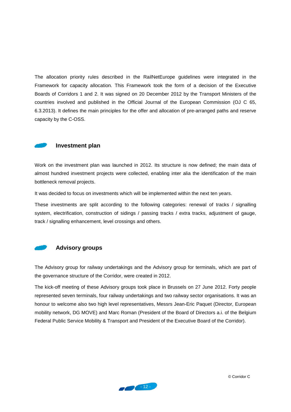The allocation priority rules described in the RailNetEurope guidelines were integrated in the Framework for capacity allocation. This Framework took the form of a decision of the Executive Boards of Corridors 1 and 2. It was signed on 20 December 2012 by the Transport Ministers of the countries involved and published in the Official Journal of the European Commission (OJ C 65, 6.3.2013). It defines the main principles for the offer and allocation of pre-arranged paths and reserve capacity by the C-OSS.

#### **Investment plan**

Work on the investment plan was launched in 2012. Its structure is now defined; the main data of almost hundred investment projects were collected, enabling inter alia the identification of the main bottleneck removal projects.

It was decided to focus on investments which will be implemented within the next ten years.

These investments are split according to the following categories: renewal of tracks / signalling system, electrification, construction of sidings / passing tracks / extra tracks, adjustment of gauge, track / signalling enhancement, level crossings and others.



#### **Advisory groups**

The Advisory group for railway undertakings and the Advisory group for terminals, which are part of the governance structure of the Corridor, were created in 2012.

The kick-off meeting of these Advisory groups took place in Brussels on 27 June 2012. Forty people represented seven terminals, four railway undertakings and two railway sector organisations. It was an honour to welcome also two high level representatives, Messrs Jean-Eric Paquet (Director, European mobility network, DG MOVE) and Marc Roman (President of the Board of Directors a.i. of the Belgium Federal Public Service Mobility & Transport and President of the Executive Board of the Corridor).

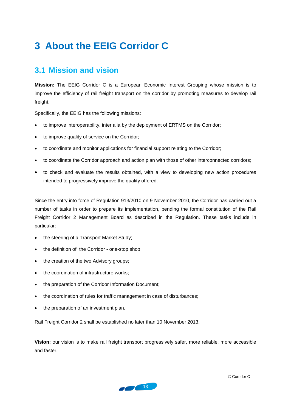### <span id="page-12-0"></span>**3 About the EEIG Corridor C**

#### <span id="page-12-1"></span>**3.1 Mission and vision**

**Mission:** The EEIG Corridor C is a European Economic Interest Grouping whose mission is to improve the efficiency of rail freight transport on the corridor by promoting measures to develop rail freight.

Specifically, the EEIG has the following missions:

- to improve interoperability, inter alia by the deployment of ERTMS on the Corridor;
- to improve quality of service on the Corridor;
- to coordinate and monitor applications for financial support relating to the Corridor;
- to coordinate the Corridor approach and action plan with those of other interconnected corridors;
- to check and evaluate the results obtained, with a view to developing new action procedures intended to progressively improve the quality offered.

Since the entry into force of Regulation 913/2010 on 9 November 2010, the Corridor has carried out a number of tasks in order to prepare its implementation, pending the formal constitution of the Rail Freight Corridor 2 Management Board as described in the Regulation. These tasks include in particular:

- the steering of a Transport Market Study;
- the definition of the Corridor one-stop shop;
- the creation of the two Advisory groups;
- the coordination of infrastructure works;
- the preparation of the Corridor Information Document;
- the coordination of rules for traffic management in case of disturbances;
- the preparation of an investment plan.

Rail Freight Corridor 2 shall be established no later than 10 November 2013.

**Vision:** our vision is to make rail freight transport progressively safer, more reliable, more accessible and faster.

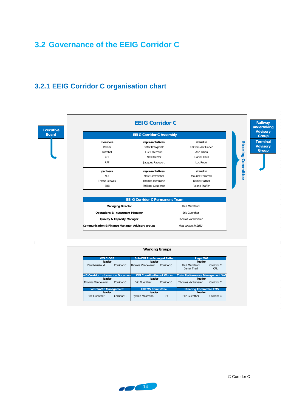### <span id="page-13-0"></span>**3.2 Governance of the EEIG Corridor C**

### <span id="page-13-1"></span>**3.2.1 EEIG Corridor C organisation chart**

**Executive Board**

|                                                            | <b>Railway</b><br>undertaking<br><b>Advisory</b><br><b>Group</b>                                                     |                                                                             |               |                                             |
|------------------------------------------------------------|----------------------------------------------------------------------------------------------------------------------|-----------------------------------------------------------------------------|---------------|---------------------------------------------|
| members<br>ProRail<br>Infrabel<br><b>CFL</b><br><b>RFF</b> | representatives<br>Pieter Kraaiieveld<br>Luc Lallemand<br>Alex Kremer<br>Jacques Rapoport                            | stand in<br>Frik van der Linden<br>Ann Billiau<br>Daniel Thull<br>Luc Roger | Steering<br>ິ | <b>Terminal</b><br><b>Advisory</b><br>Group |
| partners<br><b>ACF</b><br>Trasse Schweiz<br><b>SBB</b>     | representatives<br>Marc Oestreicher<br>Thomas Isenmann<br>Philippe Gauderon<br><b>EEIG Corridor C Permanent Team</b> | stand in<br>Maurice Faramelli<br>Daniel Haltner<br>Roland Pfaffen           | ommittee      |                                             |
|                                                            |                                                                                                                      |                                                                             |               |                                             |

| <b>EEIG Corridor C Permanent Team</b>            |                     |  |
|--------------------------------------------------|---------------------|--|
| <b>Managing Director</b>                         | Paul Mazataud       |  |
| <b>Operations &amp; Investment Manager</b>       | Fric Guenther       |  |
| <b>Quality &amp; Capacity Manager</b>            | Thomas Vanbeveren   |  |
| Communication & Finance Manager, Advisory groups | Post vacant in 2012 |  |

|                                        |            | <b>Working Groups</b>            |            |                                        |                    |
|----------------------------------------|------------|----------------------------------|------------|----------------------------------------|--------------------|
| <b>WG C-OSS</b>                        |            | <b>Sub-WG Pre-Arranged Paths</b> |            | <b>Legal WG</b>                        |                    |
| leader                                 |            | leader                           |            | leader                                 |                    |
| Paul Mazataud                          | Corridor C | Thomas Vanbeveren                | Corridor C | Paul Mazataud<br>Daniel Thull          | Corridor C<br>CFI. |
| <b>NG Corridor Information Documen</b> |            | <b>WG Coordination of Works</b>  |            | <b>Train Performance Management WG</b> |                    |
| leader                                 |            | leader                           |            | leader                                 |                    |
| Thomas Vanbeveren                      | Corridor C | Fric Guenther                    | Corridor C | Thomas Vanbeveren                      | Corridor C         |
| <b>WG Traffic Management</b>           |            | <b>ERTMS Committee</b>           |            | <b>Steering Committee TMS</b>          |                    |
| leader                                 |            | leader                           |            | leader                                 |                    |
| Fric Guenther                          | Corridor C | Sylvain Mosmann                  | <b>RFF</b> | Fric Guenther                          | Corridor C         |

 $- 14 - 14 - 14$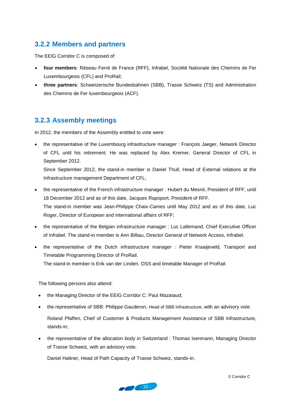#### <span id="page-14-0"></span>**3.2.2 Members and partners**

The EEIG Corridor C is composed of:

- **four members**: Réseau Ferré de France (RFF), Infrabel, Société Nationale des Chemins de Fer Luxembourgeois (CFL) and ProRail;
- **three partners**: Schweizerische Bundesbahnen (SBB), Trasse Schweiz (TS) and Administration des Chemins de Fer luxembourgeois (ACF).

#### <span id="page-14-1"></span>**3.2.3 Assembly meetings**

In 2012, the members of the Assembly entitled to vote were:

• the representative of the Luxembourg infrastructure manager : François Jaeger, Network Director of CFL until his retirement. He was replaced by Alex Kremer, General Director of CFL in September 2012.

Since September 2012, the stand-in member is Daniel Thull, Head of External relations at the Infrastructure management Department of CFL;

- the representative of the French infrastructure manager : Hubert du Mesnil, President of RFF, until 18 December 2012 and as of this date, Jacques Rapoport, President of RFF. The stand-in member was Jean-Philippe Chaix-Cames until May 2012 and as of this date, Luc Roger, Director of European and international affairs of RFF;
- the representative of the Belgian infrastructure manager : Luc Lallemand, Chief Executive Officer of Infrabel. The stand-in member is Ann Billiau, Director General of Network Access, Infrabel.
- the representative of the Dutch infrastructure manager : Pieter Kraaijeveld, Transport and Timetable Programming Director of ProRail. The stand-in member is Erik van der Linden, OSS and timetable Manager of ProRail.

The following persons also attend:

- the Managing Director of the EEIG Corridor C: Paul Mazataud;
- the representative of SBB: Philippe Gauderon, Head of SBB Infrastructure, with an advisory vote.

Roland Pfaffen, Chief of Customer & Products Management Assistance of SBB Infrastructure, stands-in;

• the representative of the allocation body in Switzerland : Thomas Isenmann, Managing Director of Trasse Schweiz, with an advisory vote.

Daniel Haltner, Head of Path Capacity of Trasse Schweiz, stands-in;

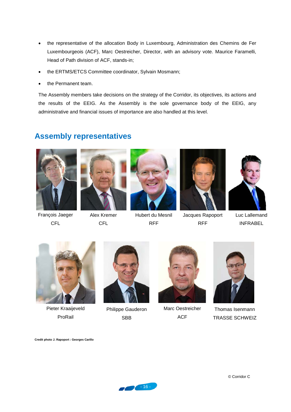- the representative of the allocation Body in Luxembourg, Administration des Chemins de Fer Luxembourgeois (ACF), Marc Oestreicher, Director, with an advisory vote. Maurice Faramelli, Head of Path division of ACF, stands-in;
- the ERTMS/ETCS Committee coordinator, Sylvain Mosmann;
- the Permanent team.

The Assembly members take decisions on the strategy of the Corridor, its objectives, its actions and the results of the EEIG. As the Assembly is the sole governance body of the EEIG, any administrative and financial issues of importance are also handled at this level.

#### **Assembly representatives**



François Jaeger CFL



Alex Kremer **CFL** 



Hubert du Mesnil RFF



Jacques Rapoport RFF



Luc Lallemand INFRABEL



Pieter Kraaijeveld ProRail



Philippe Gauderon SBB



Marc Oestreicher ACF



Thomas Isenmann TRASSE SCHWEIZ

**Credit photo J. Rapoport : Georges Carillo**

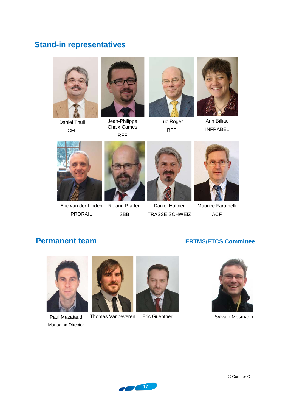### **Stand-in representatives**



Daniel Thull CFL



Jean-Philippe Chaix-Cames

RFF



Luc Roger RFF



Ann Billiau INFRABEL



Eric van der Linden PRORAIL



Roland Pfaffen SBB



Daniel Haltner TRASSE SCHWEIZ



Maurice Faramelli ACF

### **Permanent team ERTMS/ETCS Committee**



Paul Mazataud Managing Director







Thomas Vanbeveren Eric Guenther Sylvain Mosmann

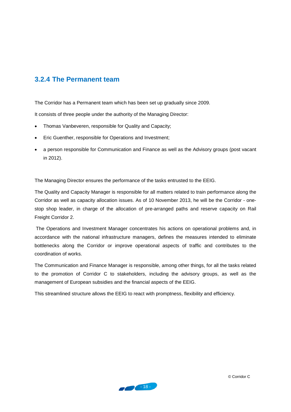#### <span id="page-17-0"></span>**3.2.4 The Permanent team**

The Corridor has a Permanent team which has been set up gradually since 2009.

It consists of three people under the authority of the Managing Director:

- Thomas Vanbeveren, responsible for Quality and Capacity;
- Eric Guenther, responsible for Operations and Investment;
- a person responsible for Communication and Finance as well as the Advisory groups (post vacant in 2012).

The Managing Director ensures the performance of the tasks entrusted to the EEIG.

The Quality and Capacity Manager is responsible for all matters related to train performance along the Corridor as well as capacity allocation issues. As of 10 November 2013, he will be the Corridor - onestop shop leader, in charge of the allocation of pre-arranged paths and reserve capacity on Rail Freight Corridor 2.

The Operations and Investment Manager concentrates his actions on operational problems and, in accordance with the national infrastructure managers, defines the measures intended to eliminate bottlenecks along the Corridor or improve operational aspects of traffic and contributes to the coordination of works.

The Communication and Finance Manager is responsible, among other things, for all the tasks related to the promotion of Corridor C to stakeholders, including the advisory groups, as well as the management of European subsidies and the financial aspects of the EEIG.

This streamlined structure allows the EEIG to react with promptness, flexibility and efficiency.

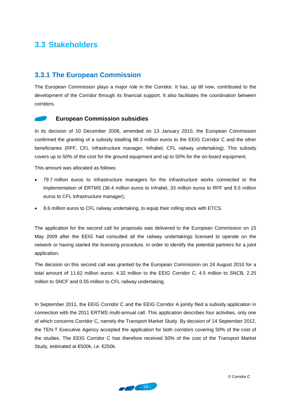#### <span id="page-18-0"></span>**3.3 Stakeholders**

#### <span id="page-18-1"></span>**3.3.1 The European Commission**

The European Commission plays a major role in the Corridor. It has, up till now, contributed to the development of the Corridor through its financial support. It also facilitates the coordination between corridors.

#### **European Commission subsidies**

In its decision of 10 December 2008, amended on 13 January 2010, the European Commission confirmed the granting of a subsidy totalling 88.3 million euros to the EEIG Corridor C and the other beneficiaries (RFF, CFL infrastructure manager, Infrabel, CFL railway undertaking). This subsidy covers up to 50% of the cost for the ground equipment and up to 50% for the on-board equipment.

This amount was allocated as follows:

- 79.7 million euros to infrastructure managers for the infrastructure works connected to the implementation of ERTMS (36.4 million euros to Infrabel, 33 million euros to RFF and 9.5 million euros to CFL infrastructure manager);
- 8,6 million euros to CFL railway undertaking, to equip their rolling stock with ETCS.

The application for the second call for proposals was delivered to the European Commission on 15 May 2009 after the EEIG had consulted all the railway undertakings licensed to operate on the network or having started the licensing procedure, in order to identify the potential partners for a joint application.

The decision on this second call was granted by the European Commission on 24 August 2010 for a total amount of 11.62 million euros: 4.32 million to the EEIG Corridor C, 4.5 million to SNCB, 2.25 million to SNCF and 0.55 million to CFL railway undertaking.

In September 2011, the EEIG Corridor C and the EEIG Corridor A jointly filed a subsidy application in connection with the 2011 ERTMS multi-annual call. This application describes four activities, only one of which concerns Corridor C, namely the Transport Market Study. By decision of 14 September 2012, the TEN-T Executive Agency accepted the application for both corridors covering 50% of the cost of the studies. The EEIG Corridor C has therefore received 50% of the cost of the Transport Market Study, estimated at €500k, i.e. €250k.

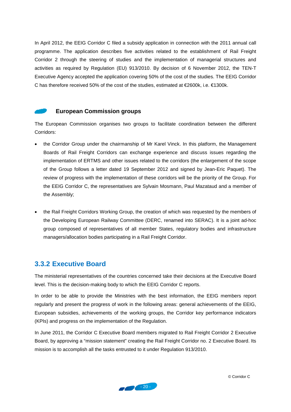In April 2012, the EEIG Corridor C filed a subsidy application in connection with the 2011 annual call programme. The application describes five activities related to the establishment of Rail Freight Corridor 2 through the steering of studies and the implementation of managerial structures and activities as required by Regulation (EU) 913/2010. By decision of 6 November 2012, the TEN-T Executive Agency accepted the application covering 50% of the cost of the studies. The EEIG Corridor C has therefore received 50% of the cost of the studies, estimated at €2600k, i.e. €1300k.

#### **European Commission groups**

The European Commission organises two groups to facilitate coordination between the different Corridors:

- the Corridor Group under the chairmanship of Mr Karel Vinck. In this platform, the Management Boards of Rail Freight Corridors can exchange experience and discuss issues regarding the implementation of ERTMS and other issues related to the corridors (the enlargement of the scope of the Group follows a letter dated 19 September 2012 and signed by Jean-Eric Paquet). The review of progress with the implementation of these corridors will be the priority of the Group. For the EEIG Corridor C, the representatives are Sylvain Mosmann, Paul Mazataud and a member of the Assembly;
- the Rail Freight Corridors Working Group, the creation of which was requested by the members of the Developing European Railway Committee (DERC, renamed into SERAC). It is a joint ad-hoc group composed of representatives of all member States, regulatory bodies and infrastructure managers/allocation bodies participating in a Rail Freight Corridor.

#### <span id="page-19-0"></span>**3.3.2 Executive Board**

The ministerial representatives of the countries concerned take their decisions at the Executive Board level. This is the decision-making body to which the EEIG Corridor C reports.

In order to be able to provide the Ministries with the best information, the EEIG members report regularly and present the progress of work in the following areas: general achievements of the EEIG, European subsidies, achievements of the working groups, the Corridor key performance indicators (KPIs) and progress on the implementation of the Regulation.

In June 2011, the Corridor C Executive Board members migrated to Rail Freight Corridor 2 Executive Board, by approving a "mission statement" creating the Rail Freight Corridor no. 2 Executive Board. Its mission is to accomplish all the tasks entrusted to it under Regulation 913/2010.

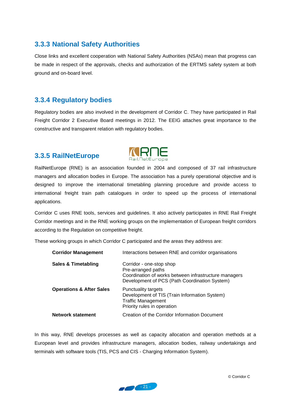#### <span id="page-20-0"></span>**3.3.3 National Safety Authorities**

Close links and excellent cooperation with National Safety Authorities (NSAs) mean that progress can be made in respect of the approvals, checks and authorization of the ERTMS safety system at both ground and on-board level.

#### <span id="page-20-1"></span>**3.3.4 Regulatory bodies**

Regulatory bodies are also involved in the development of Corridor C. They have participated in Rail Freight Corridor 2 Executive Board meetings in 2012. The EEIG attaches great importance to the constructive and transparent relation with regulatory bodies.

#### <span id="page-20-2"></span>**3.3.5 RailNetEurope**



RailNetEurope (RNE) is an association founded in 2004 and composed of 37 rail infrastructure managers and allocation bodies in Europe. The association has a purely operational objective and is designed to improve the international timetabling planning procedure and provide access to international freight train path catalogues in order to speed up the process of international applications.

Corridor C uses RNE tools, services and guidelines. It also actively participates in RNE Rail Freight Corridor meetings and in the RNE working groups on the implementation of European freight corridors according to the Regulation on competitive freight.

These working groups in which Corridor C participated and the areas they address are:

| <b>Corridor Management</b>          | Interactions between RNE and corridor organisations                                                                                                      |
|-------------------------------------|----------------------------------------------------------------------------------------------------------------------------------------------------------|
| Sales & Timetabling                 | Corridor - one-stop shop<br>Pre-arranged paths<br>Coordination of works between infrastructure managers<br>Development of PCS (Path Coordination System) |
| <b>Operations &amp; After Sales</b> | <b>Punctuality targets</b><br>Development of TIS (Train Information System)<br><b>Traffic Management</b><br>Priority rules in operation                  |
| <b>Network statement</b>            | Creation of the Corridor Information Document                                                                                                            |

In this way, RNE develops processes as well as capacity allocation and operation methods at a European level and provides infrastructure managers, allocation bodies, railway undertakings and terminals with software tools (TIS, PCS and CIS - Charging Information System).

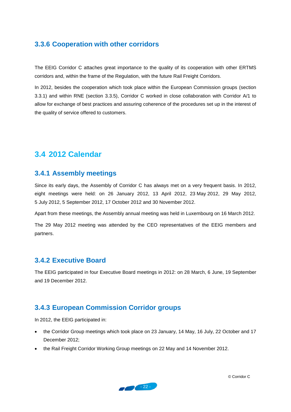#### <span id="page-21-0"></span>**3.3.6 Cooperation with other corridors**

The EEIG Corridor C attaches great importance to the quality of its cooperation with other ERTMS corridors and, within the frame of the Regulation, with the future Rail Freight Corridors.

In 2012, besides the cooperation which took place within the European Commission groups (section 3.3.1) and within RNE (section 3.3.5), Corridor C worked in close collaboration with Corridor A/1 to allow for exchange of best practices and assuring coherence of the procedures set up in the interest of the quality of service offered to customers.

#### <span id="page-21-1"></span>**3.4 2012 Calendar**

#### <span id="page-21-2"></span>**3.4.1 Assembly meetings**

Since its early days, the Assembly of Corridor C has always met on a very frequent basis. In 2012, eight meetings were held: on 26 January 2012, 13 April 2012, 23 May 2012, 29 May 2012, 5 July 2012, 5 September 2012, 17 October 2012 and 30 November 2012.

Apart from these meetings, the Assembly annual meeting was held in Luxembourg on 16 March 2012.

The 29 May 2012 meeting was attended by the CEO representatives of the EEIG members and partners.

#### <span id="page-21-3"></span>**3.4.2 Executive Board**

The EEIG participated in four Executive Board meetings in 2012: on 28 March, 6 June, 19 September and 19 December 2012.

#### <span id="page-21-4"></span>**3.4.3 European Commission Corridor groups**

In 2012, the EEIG participated in:

- the Corridor Group meetings which took place on 23 January, 14 May, 16 July, 22 October and 17 December 2012;
- the Rail Freight Corridor Working Group meetings on 22 May and 14 November 2012.

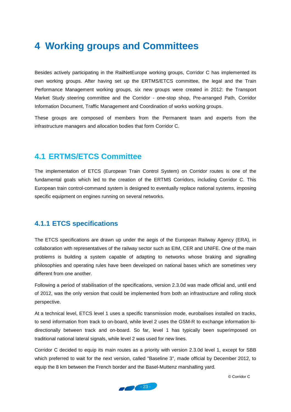### <span id="page-22-0"></span>**4 Working groups and Committees**

Besides actively participating in the RailNetEurope working groups, Corridor C has implemented its own working groups. After having set up the ERTMS/ETCS committee, the legal and the Train Performance Management working groups, six new groups were created in 2012: the Transport Market Study steering committee and the Corridor - one-stop shop, Pre-arranged Path, Corridor Information Document, Traffic Management and Coordination of works working groups.

These groups are composed of members from the Permanent team and experts from the infrastructure managers and allocation bodies that form Corridor C.

#### <span id="page-22-1"></span>**4.1 ERTMS/ETCS Committee**

The implementation of ETCS (European Train Control System) on Corridor routes is one of the fundamental goals which led to the creation of the ERTMS Corridors, including Corridor C. This European train control-command system is designed to eventually replace national systems, imposing specific equipment on engines running on several networks.

#### **4.1.1 ETCS specifications**

The ETCS specifications are drawn up under the aegis of the European Railway Agency (ERA), in collaboration with representatives of the railway sector such as EIM, CER and UNIFE. One of the main problems is building a system capable of adapting to networks whose braking and signalling philosophies and operating rules have been developed on national bases which are sometimes very different from one another.

Following a period of stabilisation of the specifications, version 2.3.0d was made official and, until end of 2012, was the only version that could be implemented from both an infrastructure and rolling stock perspective.

At a technical level, ETCS level 1 uses a specific transmission mode, eurobalises installed on tracks, to send information from track to on-board, while level 2 uses the GSM-R to exchange information bidirectionally between track and on-board. So far, level 1 has typically been superimposed on traditional national lateral signals, while level 2 was used for new lines.

Corridor C decided to equip its main routes as a priority with version 2.3.0d level 1, except for SBB which preferred to wait for the next version, called "Baseline 3", made official by December 2012, to equip the 8 km between the French border and the Basel-Muttenz marshalling yard.



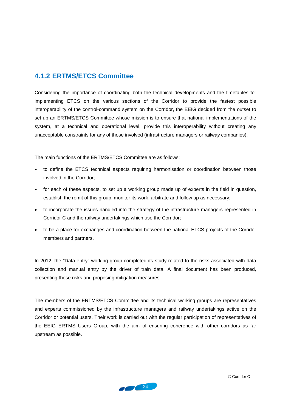#### **4.1.2 ERTMS/ETCS Committee**

Considering the importance of coordinating both the technical developments and the timetables for implementing ETCS on the various sections of the Corridor to provide the fastest possible interoperability of the control-command system on the Corridor, the EEIG decided from the outset to set up an ERTMS/ETCS Committee whose mission is to ensure that national implementations of the system, at a technical and operational level, provide this interoperability without creating any unacceptable constraints for any of those involved (infrastructure managers or railway companies).

The main functions of the ERTMS/ETCS Committee are as follows:

- to define the ETCS technical aspects requiring harmonisation or coordination between those involved in the Corridor;
- for each of these aspects, to set up a working group made up of experts in the field in question, establish the remit of this group, monitor its work, arbitrate and follow up as necessary;
- to incorporate the issues handled into the strategy of the infrastructure managers represented in Corridor C and the railway undertakings which use the Corridor;
- to be a place for exchanges and coordination between the national ETCS projects of the Corridor members and partners.

In 2012, the "Data entry" working group completed its study related to the risks associated with data collection and manual entry by the driver of train data. A final document has been produced, presenting these risks and proposing mitigation measures

The members of the ERTMS/ETCS Committee and its technical working groups are representatives and experts commissioned by the infrastructure managers and railway undertakings active on the Corridor or potential users. Their work is carried out with the regular participation of representatives of the EEIG ERTMS Users Group, with the aim of ensuring coherence with other corridors as far upstream as possible.

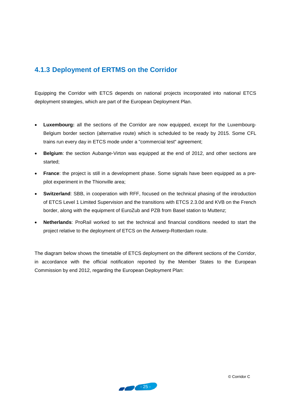#### **4.1.3 Deployment of ERTMS on the Corridor**

Equipping the Corridor with ETCS depends on national projects incorporated into national ETCS deployment strategies, which are part of the European Deployment Plan.

- **Luxembourg:** all the sections of the Corridor are now equipped, except for the Luxembourg-Belgium border section (alternative route) which is scheduled to be ready by 2015. Some CFL trains run every day in ETCS mode under a "commercial test" agreement;
- **Belgium**: the section Aubange-Virton was equipped at the end of 2012, and other sections are started;
- **France**: the project is still in a development phase. Some signals have been equipped as a prepilot experiment in the Thionville area;
- **Switzerland**: SBB, in cooperation with RFF, focused on the technical phasing of the introduction of ETCS Level 1 Limited Supervision and the transitions with ETCS 2.3.0d and KVB on the French border, along with the equipment of EuroZub and PZB from Basel station to Muttenz;
- **Netherlands**: ProRail worked to set the technical and financial conditions needed to start the project relative to the deployment of ETCS on the Antwerp-Rotterdam route.

The diagram below shows the timetable of ETCS deployment on the different sections of the Corridor, in accordance with the official notification reported by the Member States to the European Commission by end 2012, regarding the European Deployment Plan:

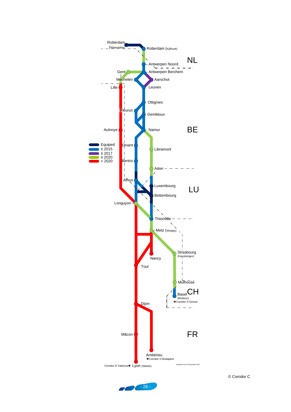

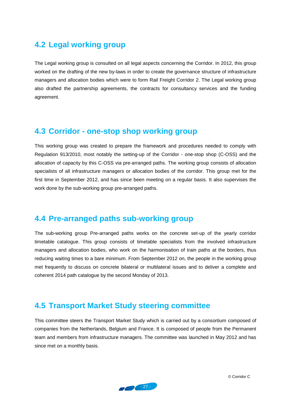#### <span id="page-26-0"></span>**4.2 Legal working group**

The Legal working group is consulted on all legal aspects concerning the Corridor. In 2012, this group worked on the drafting of the new by-laws in order to create the governance structure of infrastructure managers and allocation bodies which were to form Rail Freight Corridor 2. The Legal working group also drafted the partnership agreements, the contracts for consultancy services and the funding agreement.

#### <span id="page-26-1"></span>**4.3 Corridor - one-stop shop working group**

This working group was created to prepare the framework and procedures needed to comply with Regulation 913/2010, most notably the setting-up of the Corridor - one-stop shop (C-OSS) and the allocation of capacity by this C-OSS via pre-arranged paths. The working group consists of allocation specialists of all infrastructure managers or allocation bodies of the corridor. This group met for the first time in September 2012, and has since been meeting on a regular basis. It also supervises the work done by the sub-working group pre-arranged paths.

#### <span id="page-26-2"></span>**4.4 Pre-arranged paths sub-working group**

The sub-working group Pre-arranged paths works on the concrete set-up of the yearly corridor timetable catalogue. This group consists of timetable specialists from the involved infrastructure managers and allocation bodies, who work on the harmonisation of train paths at the borders, thus reducing waiting times to a bare minimum. From September 2012 on, the people in the working group met frequently to discuss on concrete bilateral or multilateral issues and to deliver a complete and coherent 2014 path catalogue by the second Monday of 2013.

#### <span id="page-26-3"></span>**4.5 Transport Market Study steering committee**

This committee steers the Transport Market Study which is carried out by a consortium composed of companies from the Netherlands, Belgium and France. It is composed of people from the Permanent team and members from infrastructure managers. The committee was launched in May 2012 and has since met on a monthly basis.

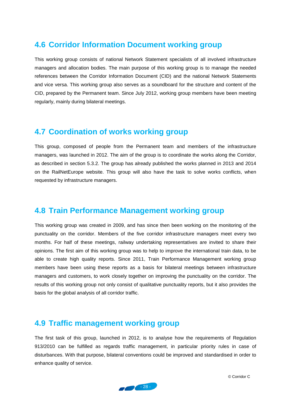#### <span id="page-27-0"></span>**4.6 Corridor Information Document working group**

This working group consists of national Network Statement specialists of all involved infrastructure managers and allocation bodies. The main purpose of this working group is to manage the needed references between the Corridor Information Document (CID) and the national Network Statements and vice versa. This working group also serves as a soundboard for the structure and content of the CID, prepared by the Permanent team. Since July 2012, working group members have been meeting regularly, mainly during bilateral meetings.

#### <span id="page-27-1"></span>**4.7 Coordination of works working group**

This group, composed of people from the Permanent team and members of the infrastructure managers, was launched in 2012. The aim of the group is to coordinate the works along the Corridor, as described in section 5.3.2. The group has already published the works planned in 2013 and 2014 on the RailNetEurope website. This group will also have the task to solve works conflicts, when requested by infrastructure managers.

#### <span id="page-27-2"></span>**4.8 Train Performance Management working group**

This working group was created in 2009, and has since then been working on the monitoring of the punctuality on the corridor. Members of the five corridor infrastructure managers meet every two months. For half of these meetings, railway undertaking representatives are invited to share their opinions. The first aim of this working group was to help to improve the international train data, to be able to create high quality reports. Since 2011, Train Performance Management working group members have been using these reports as a basis for bilateral meetings between infrastructure managers and customers, to work closely together on improving the punctuality on the corridor. The results of this working group not only consist of qualitative punctuality reports, but it also provides the basis for the global analysis of all corridor traffic.

#### <span id="page-27-3"></span>**4.9 Traffic management working group**

The first task of this group, launched in 2012, is to analyse how the requirements of Regulation 913/2010 can be fulfilled as regards traffic management, in particular priority rules in case of disturbances. With that purpose, bilateral conventions could be improved and standardised in order to enhance quality of service.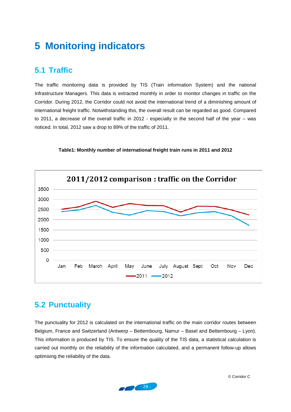### <span id="page-28-0"></span>**5 Monitoring indicators**

#### <span id="page-28-1"></span>**5.1 Traffic**

The traffic monitoring data is provided by TIS (Train information System) and the national Infrastructure Managers. This data is extracted monthly in order to monitor changes in traffic on the Corridor. During 2012, the Corridor could not avoid the international trend of a diminishing amount of international freight traffic. Notwithstanding this, the overall result can be regarded as good. Compared to 2011, a decrease of the overall traffic in 2012 - especially in the second half of the year – was noticed. In total, 2012 saw a drop to 89% of the traffic of 2011.



**Table1: Monthly number of international freight train runs in 2011 and 2012**

### <span id="page-28-2"></span>**5.2 Punctuality**

The punctuality for 2012 is calculated on the international traffic on the main corridor routes between Belgium, France and Switzerland (Antwerp – Bettembourg, Namur – Basel and Bettembourg – Lyon). This information is produced by TIS. To ensure the quality of the TIS data, a statistical calculation is carried out monthly on the reliability of the information calculated, and a permanent follow-up allows optimising the reliability of the data.

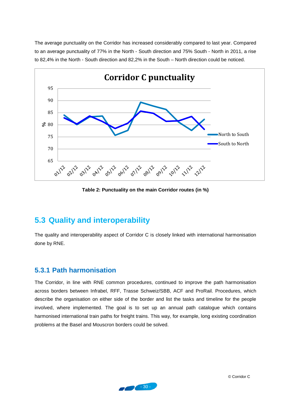The average punctuality on the Corridor has increased considerably compared to last year. Compared to an average punctuality of 77% in the North - South direction and 75% South - North in 2011, a rise to 82,4% in the North - South direction and 82,2% in the South – North direction could be noticed.



**Table 2: Punctuality on the main Corridor routes (in %)**

#### <span id="page-29-0"></span>**5.3 Quality and interoperability**

The quality and interoperability aspect of Corridor C is closely linked with international harmonisation done by RNE.

#### <span id="page-29-1"></span>**5.3.1 Path harmonisation**

The Corridor, in line with RNE common procedures, continued to improve the path harmonisation across borders between Infrabel, RFF, Trasse Schweiz/SBB, ACF and ProRail. Procedures, which describe the organisation on either side of the border and list the tasks and timeline for the people involved, where implemented. The goal is to set up an annual path catalogue which contains harmonised international train paths for freight trains. This way, for example, long existing coordination problems at the Basel and Mouscron borders could be solved.

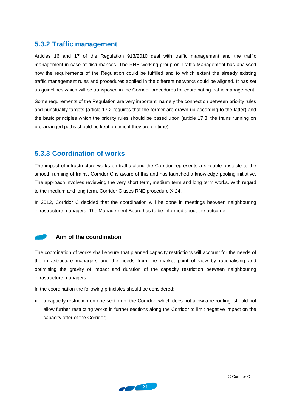#### <span id="page-30-0"></span>**5.3.2 Traffic management**

Articles 16 and 17 of the Regulation 913/2010 deal with traffic management and the traffic management in case of disturbances. The RNE working group on Traffic Management has analysed how the requirements of the Regulation could be fulfilled and to which extent the already existing traffic management rules and procedures applied in the different networks could be aligned. It has set up guidelines which will be transposed in the Corridor procedures for coordinating traffic management.

Some requirements of the Regulation are very important, namely the connection between priority rules and punctuality targets (article 17.2 requires that the former are drawn up according to the latter) and the basic principles which the priority rules should be based upon (article 17.3: the trains running on pre-arranged paths should be kept on time if they are on time).

#### <span id="page-30-1"></span>**5.3.3 Coordination of works**

The impact of infrastructure works on traffic along the Corridor represents a sizeable obstacle to the smooth running of trains. Corridor C is aware of this and has launched a knowledge pooling initiative. The approach involves reviewing the very short term, medium term and long term works. With regard to the medium and long term, Corridor C uses RNE procedure X-24.

In 2012, Corridor C decided that the coordination will be done in meetings between neighbouring infrastructure managers. The Management Board has to be informed about the outcome.

#### **Aim of the coordination**

The coordination of works shall ensure that planned capacity restrictions will account for the needs of the infrastructure managers and the needs from the market point of view by rationalising and optimising the gravity of impact and duration of the capacity restriction between neighbouring infrastructure managers.

In the coordination the following principles should be considered:

• a capacity restriction on one section of the Corridor, which does not allow a re-routing, should not allow further restricting works in further sections along the Corridor to limit negative impact on the capacity offer of the Corridor;

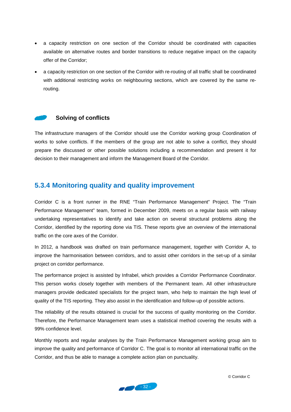- a capacity restriction on one section of the Corridor should be coordinated with capacities available on alternative routes and border transitions to reduce negative impact on the capacity offer of the Corridor;
- a capacity restriction on one section of the Corridor with re-routing of all traffic shall be coordinated with additional restricting works on neighbouring sections, which are covered by the same rerouting.

#### **Solving of conflicts**

The infrastructure managers of the Corridor should use the Corridor working group Coordination of works to solve conflicts. If the members of the group are not able to solve a conflict, they should prepare the discussed or other possible solutions including a recommendation and present it for decision to their management and inform the Management Board of the Corridor.

#### <span id="page-31-0"></span>**5.3.4 Monitoring quality and quality improvement**

Corridor C is a front runner in the RNE "Train Performance Management" Project. The "Train Performance Management" team, formed in December 2009, meets on a regular basis with railway undertaking representatives to identify and take action on several structural problems along the Corridor, identified by the reporting done via TIS. These reports give an overview of the international traffic on the core axes of the Corridor.

In 2012, a handbook was drafted on train performance management, together with Corridor A, to improve the harmonisation between corridors, and to assist other corridors in the set-up of a similar project on corridor performance.

The performance project is assisted by Infrabel, which provides a Corridor Performance Coordinator. This person works closely together with members of the Permanent team. All other infrastructure managers provide dedicated specialists for the project team, who help to maintain the high level of quality of the TIS reporting. They also assist in the identification and follow-up of possible actions.

The reliability of the results obtained is crucial for the success of quality monitoring on the Corridor. Therefore, the Performance Management team uses a statistical method covering the results with a 99% confidence level.

Monthly reports and regular analyses by the Train Performance Management working group aim to improve the quality and performance of Corridor C. The goal is to monitor all international traffic on the Corridor, and thus be able to manage a complete action plan on punctuality.

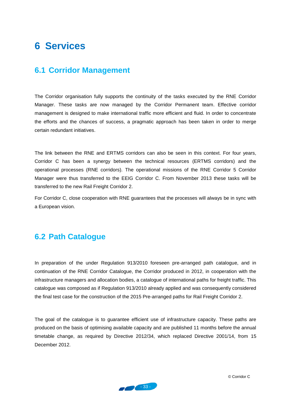### <span id="page-32-0"></span>**6 Services**

#### <span id="page-32-1"></span>**6.1 Corridor Management**

The Corridor organisation fully supports the continuity of the tasks executed by the RNE Corridor Manager. These tasks are now managed by the Corridor Permanent team. Effective corridor management is designed to make international traffic more efficient and fluid. In order to concentrate the efforts and the chances of success, a pragmatic approach has been taken in order to merge certain redundant initiatives.

The link between the RNE and ERTMS corridors can also be seen in this context. For four years, Corridor C has been a synergy between the technical resources (ERTMS corridors) and the operational processes (RNE corridors). The operational missions of the RNE Corridor 5 Corridor Manager were thus transferred to the EEIG Corridor C. From November 2013 these tasks will be transferred to the new Rail Freight Corridor 2.

For Corridor C, close cooperation with RNE guarantees that the processes will always be in sync with a European vision.

### <span id="page-32-2"></span>**6.2 Path Catalogue**

In preparation of the under Regulation 913/2010 foreseen pre-arranged path catalogue, and in continuation of the RNE Corridor Catalogue, the Corridor produced in 2012, in cooperation with the infrastructure managers and allocation bodies, a catalogue of international paths for freight traffic. This catalogue was composed as if Regulation 913/2010 already applied and was consequently considered the final test case for the construction of the 2015 Pre-arranged paths for Rail Freight Corridor 2.

The goal of the catalogue is to guarantee efficient use of infrastructure capacity. These paths are produced on the basis of optimising available capacity and are published 11 months before the annual timetable change, as required by Directive 2012/34, which replaced Directive 2001/14, from 15 December 2012.

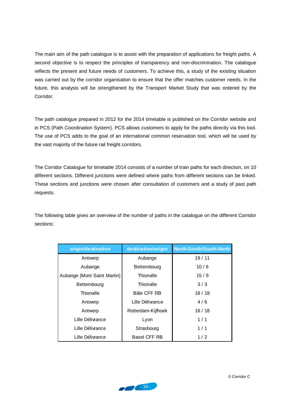The main aim of the path catalogue is to assist with the preparation of applications for freight paths. A second objective is to respect the principles of transparency and non-discrimination. The catalogue reflects the present and future needs of customers. To achieve this, a study of the existing situation was carried out by the corridor organisation to ensure that the offer matches customer needs. In the future, this analysis will be strengthened by the Transport Market Study that was ordered by the Corridor.

The path catalogue prepared in 2012 for the 2014 timetable is published on the Corridor website and in PCS (Path Coordination System). PCS allows customers to apply for the paths directly via this tool. The use of PCS adds to the goal of an international common reservation tool, which will be used by the vast majority of the future rail freight corridors.

The Corridor Catalogue for timetable 2014 consists of a number of train paths for each direction, on 10 different sections. Different junctions were defined where paths from different sections can be linked. These sections and junctions were chosen after consultation of customers and a study of past path requests.

The following table gives an overview of the number of paths in the catalogue on the different Corridor sections:

| origin/destination          | destination/origin  | <b>North-South/South-North</b> |  |
|-----------------------------|---------------------|--------------------------------|--|
| Antwerp                     | Aubange             | 19/11                          |  |
| Aubange                     | Bettembourg         | 10/6                           |  |
| Aubange (Mont Saint Martin) | Thionville          | 15/9                           |  |
| Bettembourg                 | Thionville          | 3/3                            |  |
| Thionville                  | <b>Bâle CFF RB</b>  | 18/18                          |  |
| Antwerp                     | Lille Délivrance    | 4/6                            |  |
| Antwerp                     | Rotterdam-Kijfhoek  | 18/18                          |  |
| Lille Délivrance            | Lyon                | 1/1                            |  |
| Lille Délivrance            | Strasbourg          | 1/1                            |  |
| Lille Délivrance            | <b>Basel CFF RB</b> | 1/2                            |  |

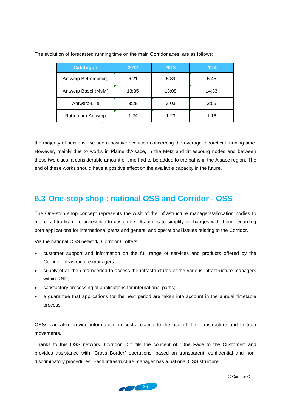| <b>Catalogue</b>    | 2012  | 2013  | 2014  |
|---------------------|-------|-------|-------|
| Antwerp-Bettembourg | 6:21  | 5:39  | 5:45  |
| Antwerp-Basel (MsM) | 13:35 | 13:08 | 14:33 |
| Antwerp-Lille       | 3:29  | 3:03  | 2:55  |
| Rotterdam-Antwerp   | 1:24  | 1:23  | 1:16  |

The evolution of forecasted running time on the main Corridor axes, are as follows:

the majority of sections, we see a positive evolution concerning the average theoretical running time. However, mainly due to works in Plaine d'Alsace, in the Metz and Strasbourg nodes and between these two cities, a considerable amount of time had to be added to the paths in the Alsace region. The end of these works should have a positive effect on the available capacity in the future.

#### <span id="page-34-0"></span>**6.3 One-stop shop : national OSS and Corridor - OSS**

The One-stop shop concept represents the wish of the infrastructure managers/allocation bodies to make rail traffic more accessible to customers. Its aim is to simplify exchanges with them, regarding both applications for international paths and general and operational issues relating to the Corridor.

Via the national OSS network, Corridor C offers:

- customer support and information on the full range of services and products offered by the Corridor infrastructure managers;
- supply of all the data needed to access the infrastructures of the various infrastructure managers within RNE;
- satisfactory processing of applications for international paths;
- a guarantee that applications for the next period are taken into account in the annual timetable process.

OSSs can also provide information on costs relating to the use of the infrastructure and to train movements.

Thanks to this OSS network, Corridor C fulfils the concept of "One Face to the Customer" and provides assistance with "Cross Border" operations, based on transparent, confidential and nondiscriminatory procedures. Each infrastructure manager has a national OSS structure.

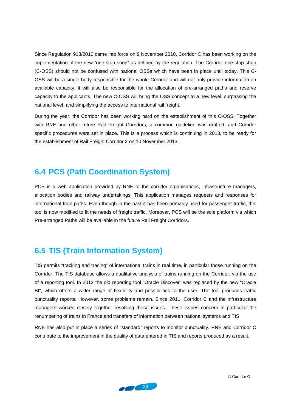Since Regulation 913/2010 came into force on 9 November 2010, Corridor C has been working on the implementation of the new "one-stop shop" as defined by the regulation. The Corridor one-stop shop (C-OSS) should not be confused with national OSSs which have been in place until today. This C-OSS will be a single body responsible for the whole Corridor and will not only provide information on available capacity, it will also be responsible for the allocation of pre-arranged paths and reserve capacity to the applicants. The new C-OSS will bring the OSS concept to a new level, surpassing the national level, and simplifying the access to international rail freight.

During the year, the Corridor has been working hard on the establishment of this C-OSS. Together with RNE and other future Rail Freight Corridors, a common guideline was drafted, and Corridor specific procedures were set in place. This is a process which is continuing in 2013, to be ready for the establishment of Rail Freight Corridor 2 on 10 November 2013.

#### <span id="page-35-0"></span>**6.4 PCS (Path Coordination System)**

PCS is a web application provided by RNE to the corridor organisations, infrastructure managers, allocation bodies and railway undertakings. This application manages requests and responses for international train paths. Even though in the past it has been primarily used for passenger traffic, this tool is now modified to fit the needs of freight traffic. Moreover, PCS will be the sole platform via which Pre-arranged Paths will be available in the future Rail Freight Corridors.

#### <span id="page-35-1"></span>**6.5 TIS (Train Information System)**

TIS permits "tracking and tracing" of international trains in real time, in particular those running on the Corridor. The TIS database allows a qualitative analysis of trains running on the Corridor, via the use of a reporting tool. In 2012 the old reporting tool "Oracle Discover" was replaced by the new "Oracle BI", which offers a wider range of flexibility and possibilities to the user. The tool produces traffic punctuality reports. However, some problems remain. Since 2011, Corridor C and the infrastructure managers worked closely together resolving these issues. These issues concern in particular the renumbering of trains in France and transfers of information between national systems and TIS.

RNE has also put in place a series of "standard" reports to monitor punctuality. RNE and Corridor C contribute to the improvement in the quality of data entered in TIS and reports produced as a result.

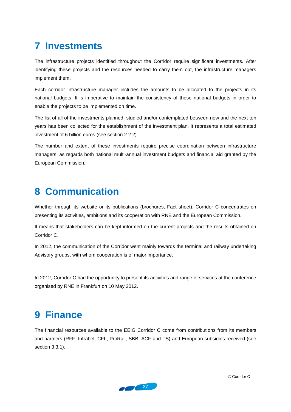## <span id="page-36-0"></span>**7 Investments**

The infrastructure projects identified throughout the Corridor require significant investments. After identifying these projects and the resources needed to carry them out, the infrastructure managers implement them.

Each corridor infrastructure manager includes the amounts to be allocated to the projects in its national budgets. It is imperative to maintain the consistency of these national budgets in order to enable the projects to be implemented on time.

The list of all of the investments planned, studied and/or contemplated between now and the next ten years has been collected for the establishment of the investment plan. It represents a total estimated investment of 6 billion euros (see section 2.2.2).

The number and extent of these investments require precise coordination between infrastructure managers, as regards both national multi-annual investment budgets and financial aid granted by the European Commission.

### <span id="page-36-1"></span>**8 Communication**

Whether through its website or its publications (brochures, Fact sheet), Corridor C concentrates on presenting its activities, ambitions and its cooperation with RNE and the European Commission.

It means that stakeholders can be kept informed on the current projects and the results obtained on Corridor C.

In 2012, the communication of the Corridor went mainly towards the terminal and railway undertaking Advisory groups, with whom cooperation is of major importance.

In 2012, Corridor C had the opportunity to present its activities and range of services at the conference organised by RNE in Frankfurt on 10 May 2012.

### <span id="page-36-2"></span>**9 Finance**

The financial resources available to the EEIG Corridor C come from contributions from its members and partners (RFF, Infrabel, CFL, ProRail, SBB, ACF and TS) and European subsidies received (see section 3.3.1).

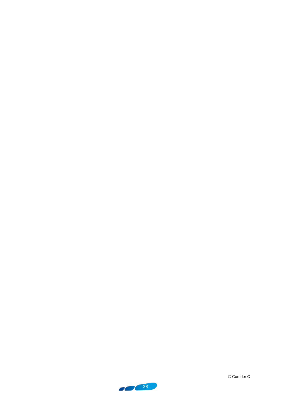